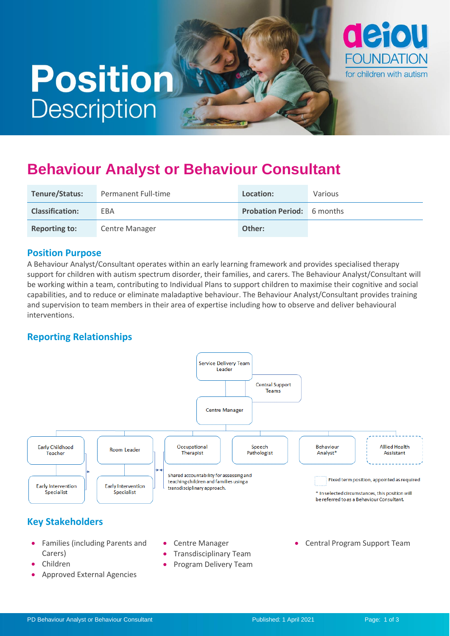# **Position Description**



## **Behaviour Analyst or Behaviour Consultant**

| Tenure/Status:         | Permanent Full-time   | Location:                         | Various |
|------------------------|-----------------------|-----------------------------------|---------|
| <b>Classification:</b> | EBA                   | <b>Probation Period:</b> 6 months |         |
| <b>Reporting to:</b>   | <b>Centre Manager</b> | Other:                            |         |

#### **Position Purpose**

A Behaviour Analyst/Consultant operates within an early learning framework and provides specialised therapy support for children with autism spectrum disorder, their families, and carers. The Behaviour Analyst/Consultant will be working within a team, contributing to Individual Plans to support children to maximise their cognitive and social capabilities, and to reduce or eliminate maladaptive behaviour. The Behaviour Analyst/Consultant provides training and supervision to team members in their area of expertise including how to observe and deliver behavioural interventions.

#### **Reporting Relationships**



- Children
- Approved External Agencies
- Transdisciplinary Team
- Program Delivery Team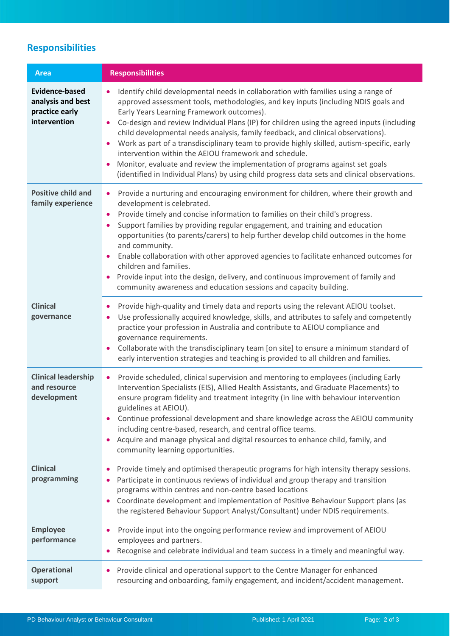## **Responsibilities**

| <b>Area</b>                                                                  | <b>Responsibilities</b>                                                                                                                                                                                                                                                                                                                                                                                                                                                                                                                                                                                                                                                                                                                                       |
|------------------------------------------------------------------------------|---------------------------------------------------------------------------------------------------------------------------------------------------------------------------------------------------------------------------------------------------------------------------------------------------------------------------------------------------------------------------------------------------------------------------------------------------------------------------------------------------------------------------------------------------------------------------------------------------------------------------------------------------------------------------------------------------------------------------------------------------------------|
| <b>Evidence-based</b><br>analysis and best<br>practice early<br>intervention | Identify child developmental needs in collaboration with families using a range of<br>approved assessment tools, methodologies, and key inputs (including NDIS goals and<br>Early Years Learning Framework outcomes).<br>Co-design and review Individual Plans (IP) for children using the agreed inputs (including<br>child developmental needs analysis, family feedback, and clinical observations).<br>Work as part of a transdisciplinary team to provide highly skilled, autism-specific, early<br>$\bullet$<br>intervention within the AEIOU framework and schedule.<br>Monitor, evaluate and review the implementation of programs against set goals<br>(identified in Individual Plans) by using child progress data sets and clinical observations. |
| <b>Positive child and</b><br>family experience                               | Provide a nurturing and encouraging environment for children, where their growth and<br>$\bullet$<br>development is celebrated.<br>Provide timely and concise information to families on their child's progress.<br>Support families by providing regular engagement, and training and education<br>$\bullet$<br>opportunities (to parents/carers) to help further develop child outcomes in the home<br>and community.<br>Enable collaboration with other approved agencies to facilitate enhanced outcomes for<br>$\bullet$<br>children and families.<br>Provide input into the design, delivery, and continuous improvement of family and<br>community awareness and education sessions and capacity building.                                             |
| <b>Clinical</b><br>governance                                                | Provide high-quality and timely data and reports using the relevant AEIOU toolset.<br>$\bullet$<br>Use professionally acquired knowledge, skills, and attributes to safely and competently<br>practice your profession in Australia and contribute to AEIOU compliance and<br>governance requirements.<br>Collaborate with the transdisciplinary team [on site] to ensure a minimum standard of<br>early intervention strategies and teaching is provided to all children and families.                                                                                                                                                                                                                                                                       |
| <b>Clinical leadership</b><br>and resource<br>development                    | Provide scheduled, clinical supervision and mentoring to employees (including Early<br>٠<br>Intervention Specialists (EIS), Allied Health Assistants, and Graduate Placements) to<br>ensure program fidelity and treatment integrity (in line with behaviour intervention<br>guidelines at AEIOU).<br>Continue professional development and share knowledge across the AEIOU community<br>including centre-based, research, and central office teams.<br>Acquire and manage physical and digital resources to enhance child, family, and<br>community learning opportunities.                                                                                                                                                                                 |
| <b>Clinical</b><br>programming                                               | Provide timely and optimised therapeutic programs for high intensity therapy sessions.<br>Participate in continuous reviews of individual and group therapy and transition<br>programs within centres and non-centre based locations<br>Coordinate development and implementation of Positive Behaviour Support plans (as<br>the registered Behaviour Support Analyst/Consultant) under NDIS requirements.                                                                                                                                                                                                                                                                                                                                                    |
| <b>Employee</b><br>performance                                               | Provide input into the ongoing performance review and improvement of AEIOU<br>employees and partners.<br>Recognise and celebrate individual and team success in a timely and meaningful way.                                                                                                                                                                                                                                                                                                                                                                                                                                                                                                                                                                  |
| <b>Operational</b><br>support                                                | Provide clinical and operational support to the Centre Manager for enhanced<br>resourcing and onboarding, family engagement, and incident/accident management.                                                                                                                                                                                                                                                                                                                                                                                                                                                                                                                                                                                                |